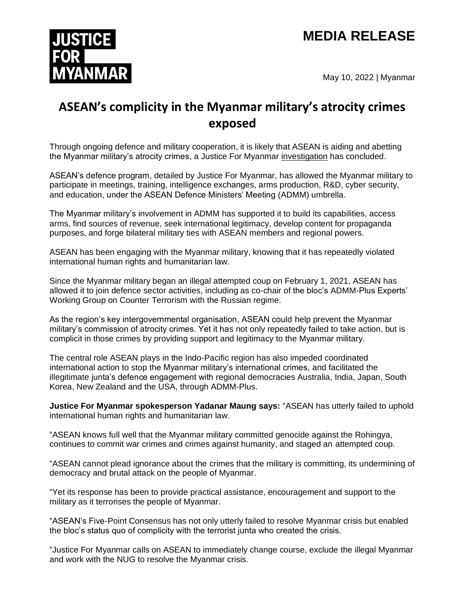# **MEDIA RELEASE**



May 10, 2022 | Myanmar

# **ASEAN's complicity in the Myanmar military's atrocity crimes exposed**

Through ongoing defence and military cooperation, it is likely that ASEAN is aiding and abetting the Myanmar military's atrocity crimes, a Justice For Myanmar [investigation](http://www.justiceformyanmar.org/stories/aseans-complicity-in-the-myanmar-militarys-atrocity-crimes) has concluded.

ASEAN's defence program, detailed by Justice For Myanmar, has allowed the Myanmar military to participate in meetings, training, intelligence exchanges, arms production, R&D, cyber security, and education, under the ASEAN Defence Ministers' Meeting (ADMM) umbrella.

The Myanmar military's involvement in ADMM has supported it to build its capabilities, access arms, find sources of revenue, seek international legitimacy, develop content for propaganda purposes, and forge bilateral military ties with ASEAN members and regional powers.

ASEAN has been engaging with the Myanmar military, knowing that it has repeatedly violated international human rights and humanitarian law.

Since the Myanmar military began an illegal attempted coup on February 1, 2021, ASEAN has allowed it to join defence sector activities, including as co-chair of the bloc's ADMM-Plus Experts' Working Group on Counter Terrorism with the Russian regime.

As the region's key intergovernmental organisation, ASEAN could help prevent the Myanmar military's commission of atrocity crimes. Yet it has not only repeatedly failed to take action, but is complicit in those crimes by providing support and legitimacy to the Myanmar military.

The central role ASEAN plays in the Indo-Pacific region has also impeded coordinated international action to stop the Myanmar military's international crimes, and facilitated the illegitimate junta's defence engagement with regional democracies Australia, India, Japan, South Korea, New Zealand and the USA, through ADMM-Plus.

**Justice For Myanmar spokesperson Yadanar Maung says:** "ASEAN has utterly failed to uphold international human rights and humanitarian law.

"ASEAN knows full well that the Myanmar military committed genocide against the Rohingya, continues to commit war crimes and crimes against humanity, and staged an attempted coup.

"ASEAN cannot plead ignorance about the crimes that the military is committing, its undermining of democracy and brutal attack on the people of Myanmar.

"Yet its response has been to provide practical assistance, encouragement and support to the military as it terrorises the people of Myanmar.

"ASEAN's Five-Point Consensus has not only utterly failed to resolve Myanmar crisis but enabled the bloc's status quo of complicity with the terrorist junta who created the crisis.

"Justice For Myanmar calls on ASEAN to immediately change course, exclude the illegal Myanmar and work with the NUG to resolve the Myanmar crisis.